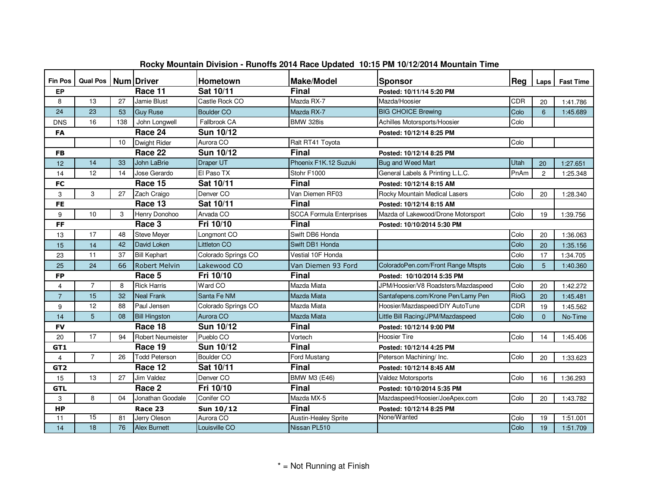| <b>Fin Pos</b>       | Qual Pos   Num   Driver |     |                          | <b>Hometown</b>     | <b>Make/Model</b>               | Sponsor                             | Rea  | Laps           | <b>Fast Time</b> |  |
|----------------------|-------------------------|-----|--------------------------|---------------------|---------------------------------|-------------------------------------|------|----------------|------------------|--|
| Race 11<br><b>EP</b> |                         |     |                          | Sat 10/11           | <b>Final</b>                    | Posted: 10/11/14 5:20 PM            |      |                |                  |  |
| 8                    | 13                      | 27  | Jamie Blust              | Castle Rock CO      | Mazda RX-7                      | Mazda/Hoosier                       | CDR  | 20             | 1:41.786         |  |
| 24                   | 23                      | 53  | <b>Guy Ruse</b>          | <b>Boulder CO</b>   | Mazda RX-7                      | <b>BIG CHOICE Brewing</b>           | Colo | $6\phantom{1}$ | 1:45.689         |  |
| <b>DNS</b>           | 16                      | 138 | John Longwell            | Fallbrook CA        | BMW 328is                       | Achilles Motorsports/Hoosier        | Colo |                |                  |  |
| <b>FA</b>            |                         |     | Race 24                  | Sun 10/12           |                                 | Posted: 10/12/14 8:25 PM            |      |                |                  |  |
|                      |                         | 10  | Dwight Rider             | Aurora CO           | Ralt RT41 Toyota                |                                     | Colo |                |                  |  |
| <b>FB</b>            |                         |     | Race 22                  | Sun 10/12           | <b>Final</b>                    | Posted: 10/12/14 8:25 PM            |      |                |                  |  |
| 12                   | 14                      | 33  | John LaBrie              | Draper UT           | Phoenix F1K.12 Suzuki           | <b>Bug and Weed Mart</b>            | Utah | 20             | 1:27.651         |  |
| 14                   | 12                      | 14  | Jose Gerardo             | El Paso TX          | Stohr F1000                     | General Labels & Printing L.L.C.    | PnAm | $\overline{2}$ | 1:25.348         |  |
| FC                   |                         |     | Race 15                  | Sat 10/11           | <b>Final</b>                    | Posted: 10/12/14 8:15 AM            |      |                |                  |  |
| 3                    | 3                       | 27  | Zach Craigo              | Denver CO           | Van Diemen RF03                 | Rocky Mountain Medical Lasers       | Colo | 20             | 1:28.340         |  |
| <b>FE</b>            |                         |     | Race 13                  | Sat 10/11           | <b>Final</b>                    | Posted: 10/12/14 8:15 AM            |      |                |                  |  |
| 9                    | 10                      | 3   | Henry Donohoo            | Arvada CO           | <b>SCCA Formula Enterprises</b> | Mazda of Lakewood/Drone Motorsport  | Colo | 19             | 1:39.756         |  |
| <b>FF</b>            |                         |     | Race 3                   | Fri 10/10           | <b>Final</b>                    | Posted: 10/10/2014 5:30 PM          |      |                |                  |  |
| 13                   | 17                      | 48  | <b>Steve Meyer</b>       | Longmont CO         | Swift DB6 Honda                 |                                     | Colo | 20             | 1:36.063         |  |
| 15                   | 14                      | 42  | David Loken              | Littleton CO        | Swift DB1 Honda                 |                                     | Colo | 20             | 1:35.156         |  |
| 23                   | 11                      | 37  | <b>Bill Kephart</b>      | Colorado Springs CO | Vestial 10F Honda               |                                     | Colo | 17             | 1:34.705         |  |
| 25                   | 24                      | 66  | Robert Melvin            | Lakewood CO         | Van Diemen 93 Ford              | ColoradoPen.com/Front Range Mtspts  | Colo | 5              | 1:40.360         |  |
| <b>FP</b>            |                         |     | Race 5                   | Fri 10/10           | <b>Final</b>                    | Posted: 10/10/2014 5:35 PM          |      |                |                  |  |
| 4                    | $\overline{7}$          | 8   | <b>Rick Harris</b>       | Ward CO             | Mazda Miata                     | JPM/Hoosier/V8 Roadsters/Mazdaspeed | Colo | 20             | 1:42.272         |  |
| $\overline{7}$       | 15                      | 32  | <b>Neal Frank</b>        | Santa Fe NM         | Mazda Miata                     | Santafepens.com/Krone Pen/Lamy Pen  | RioG | 20             | 1:45.481         |  |
| 9                    | 12                      | 88  | Paul Jensen              | Colorado Springs CO | Mazda Miata                     | Hoosier/Mazdaspeed/DIY AutoTune     | CDR  | 19             | 1:45.562         |  |
| 14                   | 5                       | 08  | <b>Bill Hingston</b>     | Aurora CO           | Mazda Miata                     | Little Bill Racing/JPM/Mazdaspeed   | Colo | $\Omega$       | No-Time          |  |
| <b>FV</b>            |                         |     | Race 18                  | Sun 10/12           | <b>Final</b>                    | Posted: 10/12/14 9:00 PM            |      |                |                  |  |
| 20                   | 17                      | 94  | <b>Robert Neumeister</b> | Pueblo CO           | Vortech                         | <b>Hoosier Tire</b>                 | Colo | 14             | 1:45.406         |  |
| GT1                  |                         |     | Race 19                  | Sun 10/12           | <b>Final</b>                    | Posted: 10/12/14 4:25 PM            |      |                |                  |  |
| $\overline{4}$       | $\overline{7}$          | 26  | <b>Todd Peterson</b>     | <b>Boulder CO</b>   | Ford Mustang                    | Peterson Machining/ Inc.            | Colo | 20             | 1:33.623         |  |
| GT <sub>2</sub>      |                         |     | Race 12                  | Sat 10/11           | <b>Final</b>                    | Posted: 10/12/14 8:45 AM            |      |                |                  |  |
| 15                   | 13                      | 27  | <b>Jim Valdez</b>        | Denver CO           | <b>BMW M3 (E46)</b>             | <b>Valdez Motorsports</b>           | Colo | 16             | 1:36.293         |  |
| <b>GTL</b>           |                         |     | Race 2                   | Fri 10/10           | <b>Final</b>                    | Posted: 10/10/2014 5:35 PM          |      |                |                  |  |
| 3                    | 8                       | 04  | Jonathan Goodale         | Conifer CO          | Mazda MX-5                      | Mazdaspeed/Hoosier/JoeApex.com      | Colo | 20             | 1:43.782         |  |
| <b>HP</b>            |                         |     | Race 23                  | Sun 10/12           | <b>Final</b>                    | Posted: 10/12/14 8:25 PM            |      |                |                  |  |
| 11                   | 15                      | 81  | Jerry Oleson             | Aurora CO           | Austin-Healey Sprite            | None/Wanted                         | Colo | 19             | 1:51.001         |  |
| 14                   | 18                      | 76  | <b>Alex Burnett</b>      | Louisville CO       | Nissan PL510                    |                                     | Colo | 19             | 1:51.709         |  |

## **Rocky Mountain Division - Runoffs 2014 Race Updated 10:15 PM 10/12/2014 Mountain Time**